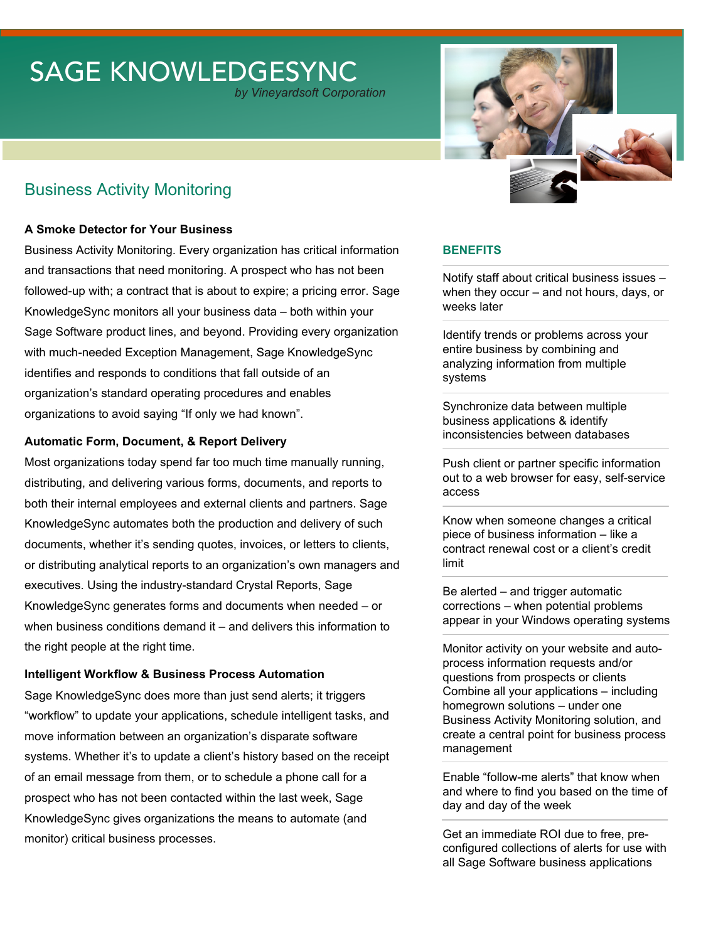# SAGE KNOWLEDGESYNC

*by Vineyardsoft Corporation*

## Business Activity Monitoring

#### **A Smoke Detector for Your Business**

Business Activity Monitoring. Every organization has critical information and transactions that need monitoring. A prospect who has not been followed-up with; a contract that is about to expire; a pricing error. Sage KnowledgeSync monitors all your business data – both within your Sage Software product lines, and beyond. Providing every organization with much-needed Exception Management, Sage KnowledgeSync identifies and responds to conditions that fall outside of an organization's standard operating procedures and enables organizations to avoid saying "If only we had known".

#### **Automatic Form, Document, & Report Delivery**

Most organizations today spend far too much time manually running, distributing, and delivering various forms, documents, and reports to both their internal employees and external clients and partners. Sage KnowledgeSync automates both the production and delivery of such documents, whether it's sending quotes, invoices, or letters to clients, or distributing analytical reports to an organization's own managers and executives. Using the industry-standard Crystal Reports, Sage KnowledgeSync generates forms and documents when needed – or when business conditions demand it – and delivers this information to the right people at the right time.

#### **Intelligent Workflow & Business Process Automation**

Sage KnowledgeSync does more than just send alerts; it triggers "workflow" to update your applications, schedule intelligent tasks, and move information between an organization's disparate software systems. Whether it's to update a client's history based on the receipt of an email message from them, or to schedule a phone call for a prospect who has not been contacted within the last week, Sage KnowledgeSync gives organizations the means to automate (and monitor) critical business processes.



#### **BENEFITS**

Notify staff about critical business issues – when they occur – and not hours, days, or weeks later

Identify trends or problems across your entire business by combining and analyzing information from multiple systems

Synchronize data between multiple business applications & identify inconsistencies between databases

Push client or partner specific information out to a web browser for easy, self-service access

Know when someone changes a critical piece of business information – like a contract renewal cost or a client's credit limit

Be alerted – and trigger automatic corrections – when potential problems appear in your Windows operating systems

Monitor activity on your website and autoprocess information requests and/or questions from prospects or clients Combine all your applications – including homegrown solutions – under one Business Activity Monitoring solution, and create a central point for business process management

Enable "follow-me alerts" that know when and where to find you based on the time of day and day of the week

Get an immediate ROI due to free, preconfigured collections of alerts for use with all Sage Software business applications